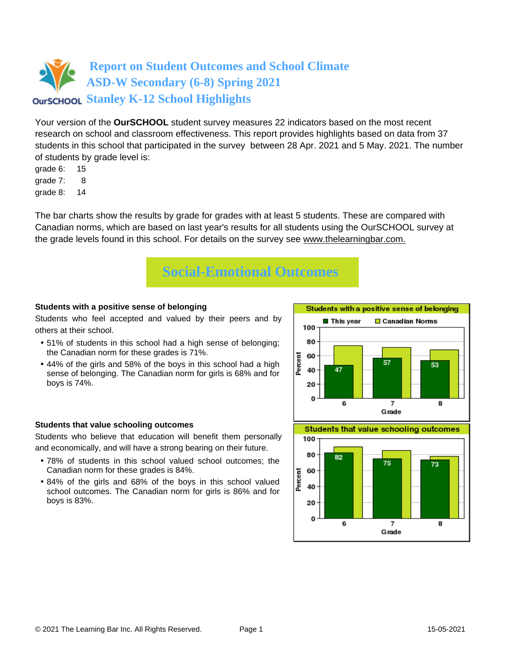Your version of the **OurSCHOOL** student survey measures 22 indicators based on the most recent research on school and classroom effectiveness. This report provides highlights based on data from 37 students in this school that participated in the survey between 28 Apr. 2021 and 5 May. 2021. The number of students by grade level is:

- grade 6: 15
- grade 7: 8
- grade 8: 14

The bar charts show the results by grade for grades with at least 5 students. These are compared with Canadian norms, which are based on last year's results for all students using the OurSCHOOL survey at the grade levels found in this school. For details on the survey see [www.thelearningbar.com.](www.thelearningbar.com)



#### **Students with a positive sense of belonging**

Students who feel accepted and valued by their peers and by others at their school.

- 51% of students in this school had a high sense of belonging; the Canadian norm for these grades is 71%.
- 44% of the girls and 58% of the boys in this school had a high sense of belonging. The Canadian norm for girls is 68% and for boys is 74%.



#### **Students that value schooling outcomes**

Students who believe that education will benefit them personally and economically, and will have a strong bearing on their future.

- 78% of students in this school valued school outcomes; the Canadian norm for these grades is 84%.
- 84% of the girls and 68% of the boys in this school valued school outcomes. The Canadian norm for girls is 86% and for boys is 83%.

**Students that value schooling outcomes** 

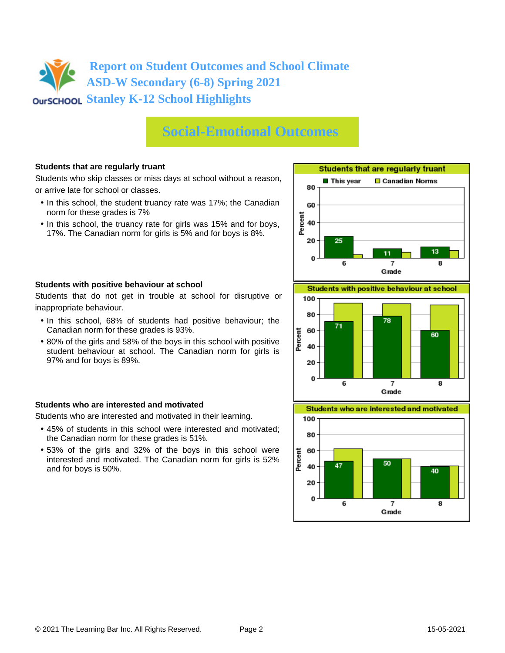# **Social-Emotional Outcomes**

#### **Students that are regularly truant**

Students who skip classes or miss days at school without a reason, or arrive late for school or classes.

- In this school, the student truancy rate was 17%; the Canadian norm for these grades is 7%
- In this school, the truancy rate for girls was 15% and for boys, 17%. The Canadian norm for girls is 5% and for boys is 8%.



#### **Students with positive behaviour at school**

Students that do not get in trouble at school for disruptive or inappropriate behaviour.

- In this school, 68% of students had positive behaviour; the Canadian norm for these grades is 93%.
- 80% of the girls and 58% of the boys in this school with positive student behaviour at school. The Canadian norm for girls is 97% and for boys is 89%.

#### **Students who are interested and motivated**

Students who are interested and motivated in their learning.

- 45% of students in this school were interested and motivated; the Canadian norm for these grades is 51%.
- 53% of the girls and 32% of the boys in this school were interested and motivated. The Canadian norm for girls is 52% and for boys is 50%.



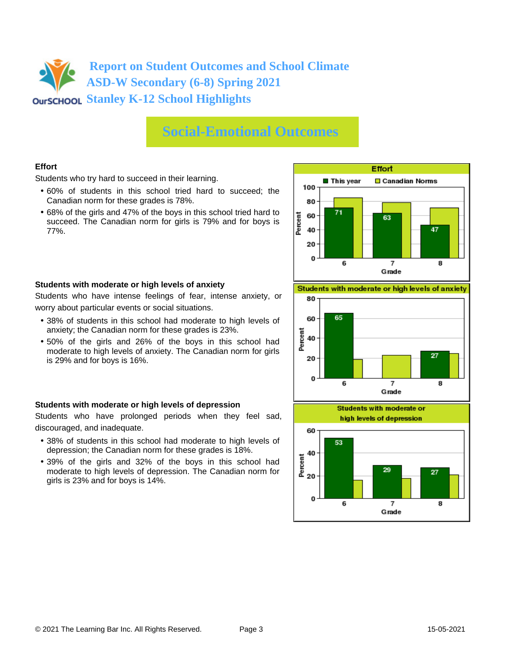## **Social-Emotional Outcomes**

## **Effort**

Students who try hard to succeed in their learning.

- 60% of students in this school tried hard to succeed; the Canadian norm for these grades is 78%.
- 68% of the girls and 47% of the boys in this school tried hard to succeed. The Canadian norm for girls is 79% and for boys is 77%.



#### **Students with moderate or high levels of anxiety**

Students who have intense feelings of fear, intense anxiety, or worry about particular events or social situations.

- 38% of students in this school had moderate to high levels of anxiety; the Canadian norm for these grades is 23%.
- 50% of the girls and 26% of the boys in this school had moderate to high levels of anxiety. The Canadian norm for girls is 29% and for boys is 16%.

#### **Students with moderate or high levels of depression**

Students who have prolonged periods when they feel sad, discouraged, and inadequate.

- 38% of students in this school had moderate to high levels of depression; the Canadian norm for these grades is 18%.
- 39% of the girls and 32% of the boys in this school had moderate to high levels of depression. The Canadian norm for girls is 23% and for boys is 14%.

Students with moderate or high levels of anxiety



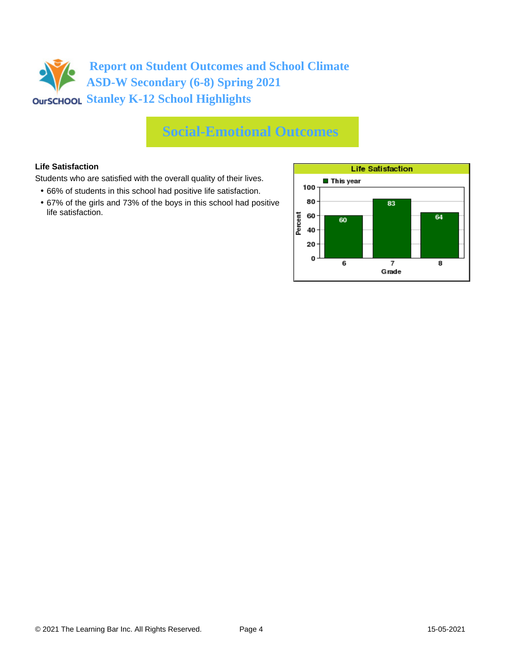# **Social-Emotional Outcomes**

## **Life Satisfaction**

Students who are satisfied with the overall quality of their lives.

- 66% of students in this school had positive life satisfaction.
- 67% of the girls and 73% of the boys in this school had positive life satisfaction.

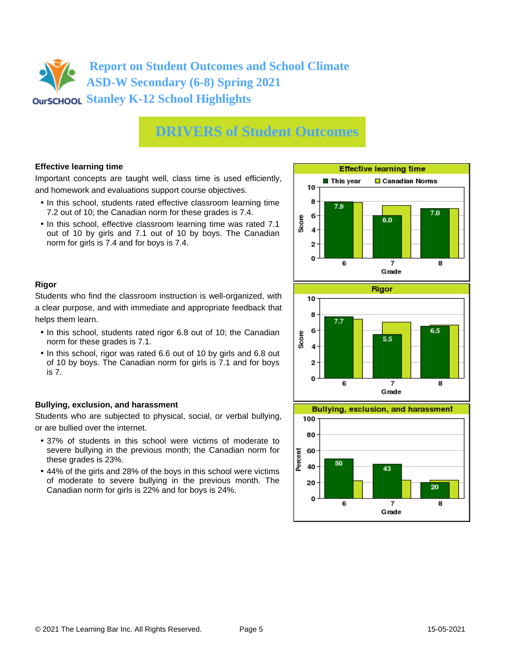# **DRIVERS of Student Outcomes**

## **Effective learning time**

Important concepts are taught well, class time is used efficiently, and homework and evaluations support course objectives.

- In this school, students rated effective classroom learning time 7.2 out of 10; the Canadian norm for these grades is 7.4.
- In this school, effective classroom learning time was rated 7.1 out of 10 by girls and 7.1 out of 10 by boys. The Canadian norm for girls is 7.4 and for boys is 7.4.



## **Rigor**

Students who find the classroom instruction is well-organized, with a clear purpose, and with immediate and appropriate feedback that helps them learn.

- In this school, students rated rigor 6.8 out of 10; the Canadian norm for these grades is 7.1.
- In this school, rigor was rated 6.6 out of 10 by girls and 6.8 out of 10 by boys. The Canadian norm for girls is 7.1 and for boys is 7.

## **Bullying, exclusion, and harassment**

Students who are subjected to physical, social, or verbal bullying, or are bullied over the internet.

- 37% of students in this school were victims of moderate to severe bullying in the previous month; the Canadian norm for these grades is 23%.
- 44% of the girls and 28% of the boys in this school were victims of moderate to severe bullying in the previous month. The Canadian norm for girls is 22% and for boys is 24%.



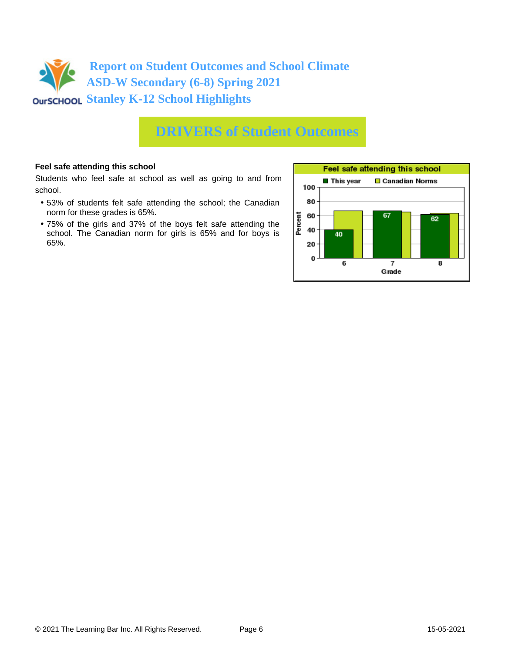

## **DRIVERS of Student Outcomes**

#### **Feel safe attending this school**

Students who feel safe at school as well as going to and from school.

- 53% of students felt safe attending the school; the Canadian norm for these grades is 65%.
- 75% of the girls and 37% of the boys felt safe attending the school. The Canadian norm for girls is 65% and for boys is 65%.

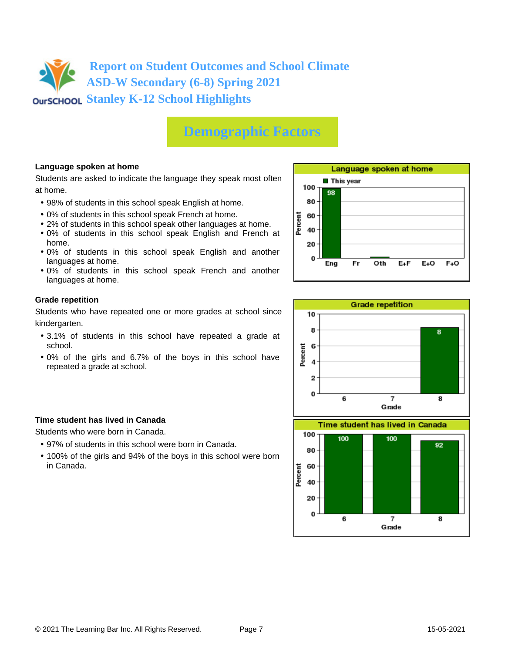# **Demographic Factors**

## **Language spoken at home**

Students are asked to indicate the language they speak most often at home.

- 98% of students in this school speak English at home.
- 0% of students in this school speak French at home.
- 2% of students in this school speak other languages at home.
- 0% of students in this school speak English and French at home.
- 0% of students in this school speak English and another languages at home.
- 0% of students in this school speak French and another languages at home.

#### **Grade repetition**

Students who have repeated one or more grades at school since kindergarten.

- 3.1% of students in this school have repeated a grade at school.
- 0% of the girls and 6.7% of the boys in this school have repeated a grade at school.

## **Time student has lived in Canada**

Students who were born in Canada.

- 97% of students in this school were born in Canada.
- 100% of the girls and 94% of the boys in this school were born in Canada.



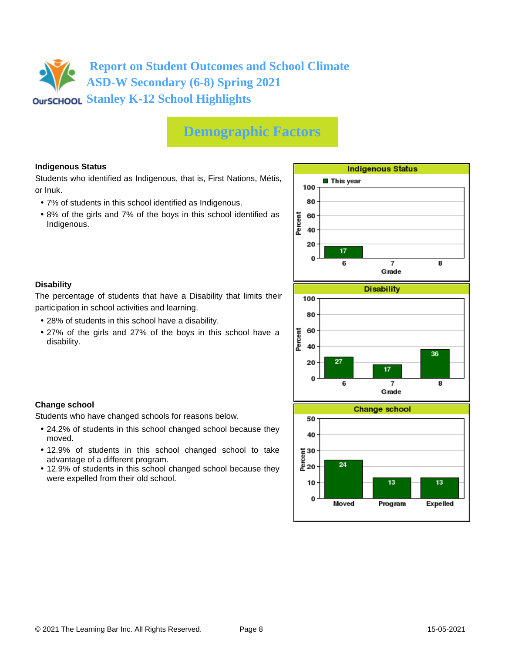# **Demographic Factors**

## **Indigenous Status**

Students who identified as Indigenous, that is, First Nations, Métis, or Inuk.

- 7% of students in this school identified as Indigenous.
- 8% of the girls and 7% of the boys in this school identified as Indigenous.



Program

Moved

## **Disability**

**Change school**

moved.

The percentage of students that have a Disability that limits their participation in school activities and learning.

• 28% of students in this school have a disability.

Students who have changed schools for reasons below.

advantage of a different program.

were expelled from their old school.

• 27% of the girls and 27% of the boys in this school have a disability.

• 24.2% of students in this school changed school because they

• 12.9% of students in this school changed school to take

• 12.9% of students in this school changed school because they

Expelled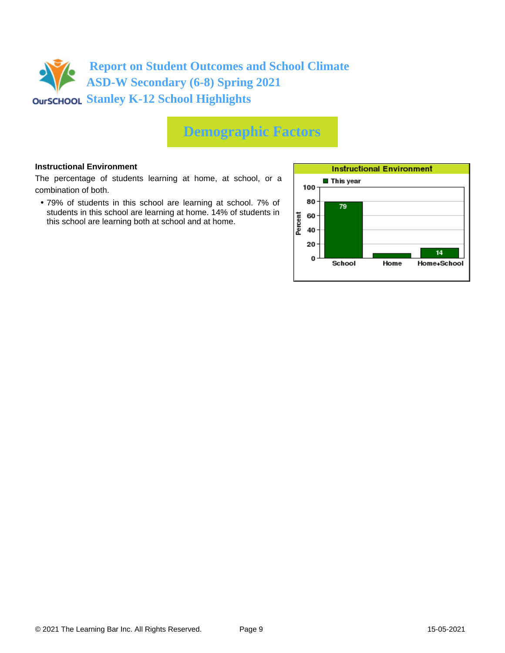

# **Demographic Factors**

#### **Instructional Environment**

The percentage of students learning at home, at school, or a combination of both.

• 79% of students in this school are learning at school. 7% of students in this school are learning at home. 14% of students in this school are learning both at school and at home.

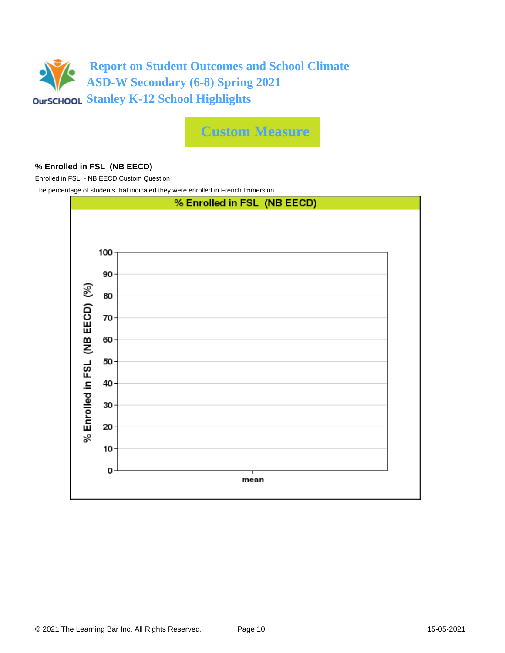

**Custom Measure**

#### **% Enrolled in FSL (NB EECD)**

Enrolled in FSL - NB EECD Custom Question

The percentage of students that indicated they were enrolled in French Immersion.

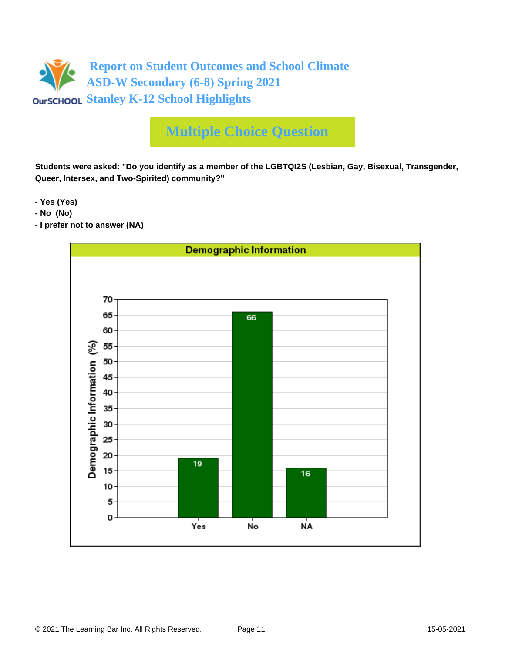

# **Multiple Choice Question**

**Students were asked: "Do you identify as a member of the LGBTQI2S (Lesbian, Gay, Bisexual, Transgender, Queer, Intersex, and Two-Spirited) community?"**

**- Yes (Yes)**

- **No (No)**
- **I prefer not to answer (NA)**

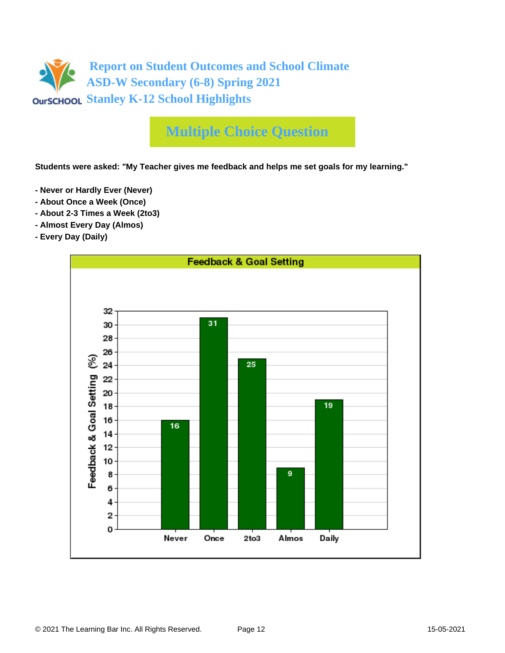

# **Multiple Choice Question**

**Students were asked: "My Teacher gives me feedback and helps me set goals for my learning."**

- **Never or Hardly Ever (Never)**
- **About Once a Week (Once)**
- **About 2-3 Times a Week (2to3)**
- **Almost Every Day (Almos)**
- **Every Day (Daily)**